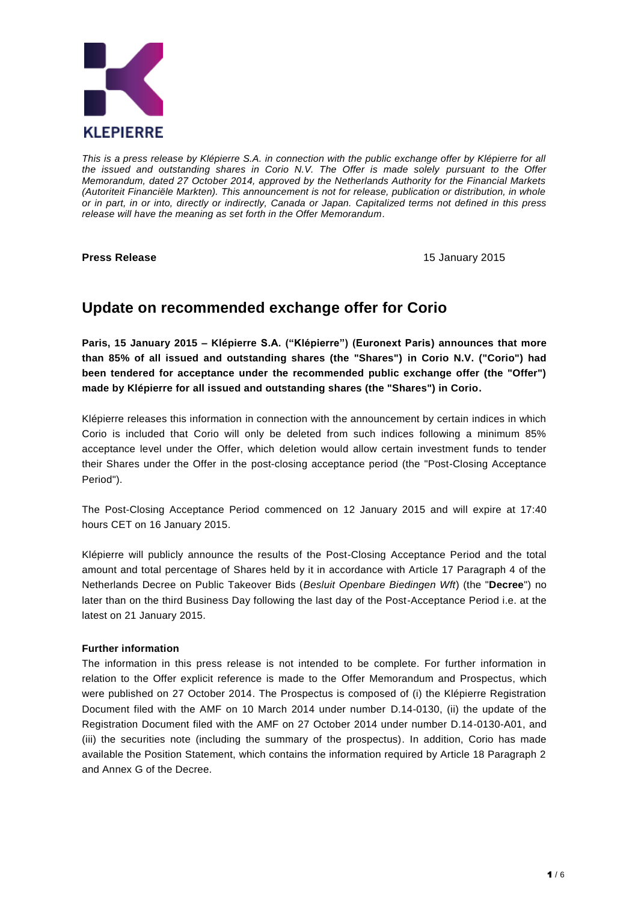

*This is a press release by Klépierre S.A. in connection with the public exchange offer by Klépierre for all the issued and outstanding shares in Corio N.V. The Offer is made solely pursuant to the Offer Memorandum, dated 27 October 2014, approved by the Netherlands Authority for the Financial Markets (Autoriteit Financiële Markten). This announcement is not for release, publication or distribution, in whole or in part, in or into, directly or indirectly, Canada or Japan. Capitalized terms not defined in this press release will have the meaning as set forth in the Offer Memorandum.*

**Press Release** 15 January 2015

# **Update on recommended exchange offer for Corio**

**Paris, 15 January 2015 – Klépierre S.A. ("Klépierre") (Euronext Paris) announces that more than 85% of all issued and outstanding shares (the "Shares") in Corio N.V. ("Corio") had been tendered for acceptance under the recommended public exchange offer (the "Offer") made by Klépierre for all issued and outstanding shares (the "Shares") in Corio.**

Klépierre releases this information in connection with the announcement by certain indices in which Corio is included that Corio will only be deleted from such indices following a minimum 85% acceptance level under the Offer, which deletion would allow certain investment funds to tender their Shares under the Offer in the post-closing acceptance period (the "Post-Closing Acceptance Period").

The Post-Closing Acceptance Period commenced on 12 January 2015 and will expire at 17:40 hours CET on 16 January 2015.

Klépierre will publicly announce the results of the Post-Closing Acceptance Period and the total amount and total percentage of Shares held by it in accordance with Article 17 Paragraph 4 of the Netherlands Decree on Public Takeover Bids (*Besluit Openbare Biedingen Wft*) (the "**Decree**") no later than on the third Business Day following the last day of the Post-Acceptance Period i.e. at the latest on 21 January 2015.

# **Further information**

The information in this press release is not intended to be complete. For further information in relation to the Offer explicit reference is made to the Offer Memorandum and Prospectus, which were published on 27 October 2014. The Prospectus is composed of (i) the Klépierre Registration Document filed with the AMF on 10 March 2014 under number [D.14-0130,](http://inetbdif.amf-france.org/DocDoif/rdd/RAPOSTPdf/2014/2014-0130.pdf) (ii) the update of the Registration Document filed with the AMF on 27 October 2014 under number D.14-0130-A01, and (iii) the securities note (including the summary of the prospectus). In addition, Corio has made available the Position Statement, which contains the information required by Article 18 Paragraph 2 and Annex G of the Decree.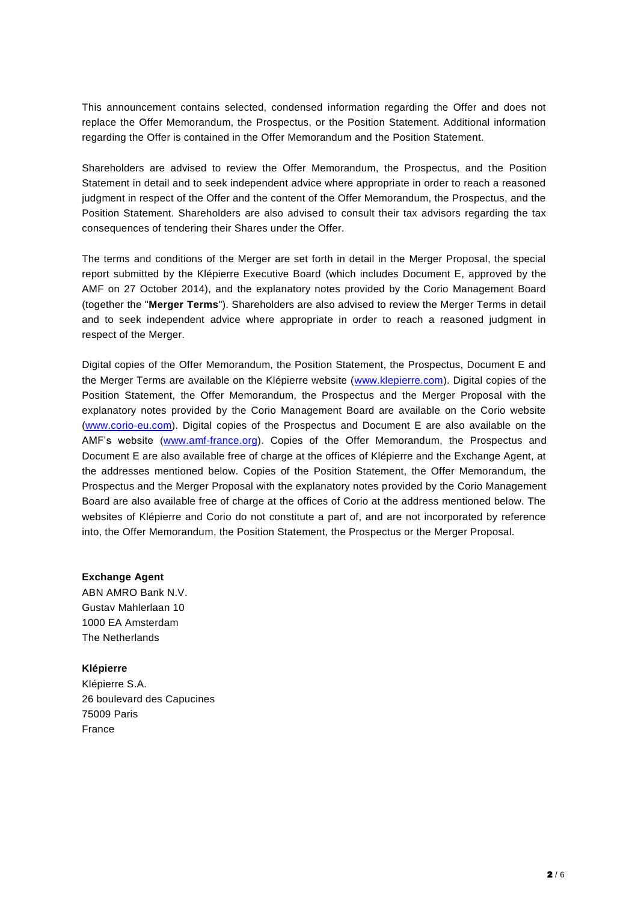This announcement contains selected, condensed information regarding the Offer and does not replace the Offer Memorandum, the Prospectus, or the Position Statement. Additional information regarding the Offer is contained in the Offer Memorandum and the Position Statement.

Shareholders are advised to review the Offer Memorandum, the Prospectus, and the Position Statement in detail and to seek independent advice where appropriate in order to reach a reasoned judgment in respect of the Offer and the content of the Offer Memorandum, the Prospectus, and the Position Statement. Shareholders are also advised to consult their tax advisors regarding the tax consequences of tendering their Shares under the Offer.

The terms and conditions of the Merger are set forth in detail in the Merger Proposal, the special report submitted by the Klépierre Executive Board (which includes Document E, approved by the AMF on 27 October 2014), and the explanatory notes provided by the Corio Management Board (together the "**Merger Terms**"). Shareholders are also advised to review the Merger Terms in detail and to seek independent advice where appropriate in order to reach a reasoned judgment in respect of the Merger.

Digital copies of the Offer Memorandum, the Position Statement, the Prospectus, Document E and the Merger Terms are available on the Klépierre website [\(www.klepierre.com\)](http://www.klepierre.com/). Digital copies of the Position Statement, the Offer Memorandum, the Prospectus and the Merger Proposal with the explanatory notes provided by the Corio Management Board are available on the Corio website [\(www.corio-eu.com\)](http://www.corio-eu.com/). Digital copies of the Prospectus and Document E are also available on the AMF's website [\(www.amf-france.org\)](http://www.amf-france.org/). Copies of the Offer Memorandum, the Prospectus and Document E are also available free of charge at the offices of Klépierre and the Exchange Agent, at the addresses mentioned below. Copies of the Position Statement, the Offer Memorandum, the Prospectus and the Merger Proposal with the explanatory notes provided by the Corio Management Board are also available free of charge at the offices of Corio at the address mentioned below. The websites of Klépierre and Corio do not constitute a part of, and are not incorporated by reference into, the Offer Memorandum, the Position Statement, the Prospectus or the Merger Proposal.

**Exchange Agent** ABN AMRO Bank N.V. Gustav Mahlerlaan 10 1000 EA Amsterdam The Netherlands

#### **Klépierre**

Klépierre S.A. 26 boulevard des Capucines 75009 Paris France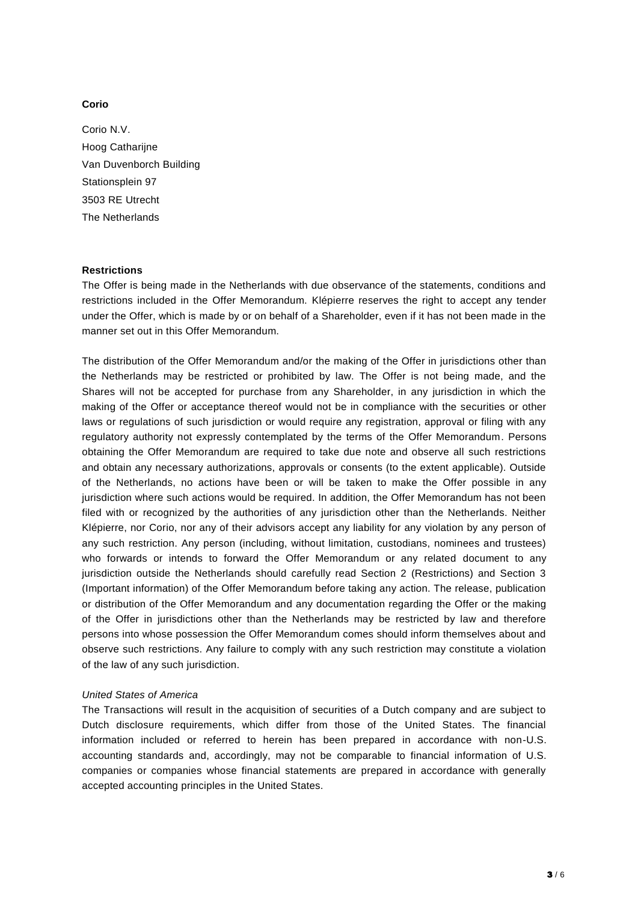## **Corio**

Corio N.V. Hoog Catharijne Van Duvenborch Building Stationsplein 97 3503 RE Utrecht The Netherlands

#### **Restrictions**

The Offer is being made in the Netherlands with due observance of the statements, conditions and restrictions included in the Offer Memorandum. Klépierre reserves the right to accept any tender under the Offer, which is made by or on behalf of a Shareholder, even if it has not been made in the manner set out in this Offer Memorandum.

The distribution of the Offer Memorandum and/or the making of the Offer in jurisdictions other than the Netherlands may be restricted or prohibited by law. The Offer is not being made, and the Shares will not be accepted for purchase from any Shareholder, in any jurisdiction in which the making of the Offer or acceptance thereof would not be in compliance with the securities or other laws or regulations of such jurisdiction or would require any registration, approval or filing with any regulatory authority not expressly contemplated by the terms of the Offer Memorandum. Persons obtaining the Offer Memorandum are required to take due note and observe all such restrictions and obtain any necessary authorizations, approvals or consents (to the extent applicable). Outside of the Netherlands, no actions have been or will be taken to make the Offer possible in any jurisdiction where such actions would be required. In addition, the Offer Memorandum has not been filed with or recognized by the authorities of any jurisdiction other than the Netherlands. Neither Klépierre, nor Corio, nor any of their advisors accept any liability for any violation by any person of any such restriction. Any person (including, without limitation, custodians, nominees and trustees) who forwards or intends to forward the Offer Memorandum or any related document to any jurisdiction outside the Netherlands should carefully read Section 2 (Restrictions) and Section 3 (Important information) of the Offer Memorandum before taking any action. The release, publication or distribution of the Offer Memorandum and any documentation regarding the Offer or the making of the Offer in jurisdictions other than the Netherlands may be restricted by law and therefore persons into whose possession the Offer Memorandum comes should inform themselves about and observe such restrictions. Any failure to comply with any such restriction may constitute a violation of the law of any such jurisdiction.

#### *United States of America*

The Transactions will result in the acquisition of securities of a Dutch company and are subject to Dutch disclosure requirements, which differ from those of the United States. The financial information included or referred to herein has been prepared in accordance with non-U.S. accounting standards and, accordingly, may not be comparable to financial information of U.S. companies or companies whose financial statements are prepared in accordance with generally accepted accounting principles in the United States.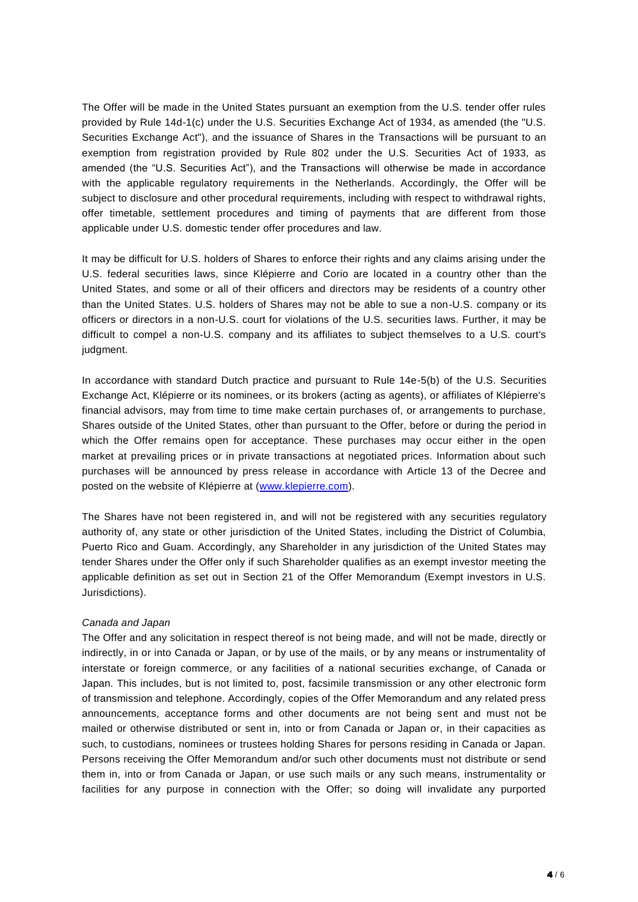The Offer will be made in the United States pursuant an exemption from the U.S. tender offer rules provided by Rule 14d-1(c) under the U.S. Securities Exchange Act of 1934, as amended (the "U.S. Securities Exchange Act"), and the issuance of Shares in the Transactions will be pursuant to an exemption from registration provided by Rule 802 under the U.S. Securities Act of 1933, as amended (the "U.S. Securities Act"), and the Transactions will otherwise be made in accordance with the applicable regulatory requirements in the Netherlands. Accordingly, the Offer will be subject to disclosure and other procedural requirements, including with respect to withdrawal rights, offer timetable, settlement procedures and timing of payments that are different from those applicable under U.S. domestic tender offer procedures and law.

It may be difficult for U.S. holders of Shares to enforce their rights and any claims arising under the U.S. federal securities laws, since Klépierre and Corio are located in a country other than the United States, and some or all of their officers and directors may be residents of a country other than the United States. U.S. holders of Shares may not be able to sue a non-U.S. company or its officers or directors in a non-U.S. court for violations of the U.S. securities laws. Further, it may be difficult to compel a non-U.S. company and its affiliates to subject themselves to a U.S. court's judgment.

In accordance with standard Dutch practice and pursuant to Rule 14e-5(b) of the U.S. Securities Exchange Act, Klépierre or its nominees, or its brokers (acting as agents), or affiliates of Klépierre's financial advisors, may from time to time make certain purchases of, or arrangements to purchase, Shares outside of the United States, other than pursuant to the Offer, before or during the period in which the Offer remains open for acceptance. These purchases may occur either in the open market at prevailing prices or in private transactions at negotiated prices. Information about such purchases will be announced by press release in accordance with Article 13 of the Decree and posted on the website of Klépierre at [\(www.klepierre.com\)](http://www.klepierre.com/).

The Shares have not been registered in, and will not be registered with any securities regulatory authority of, any state or other jurisdiction of the United States, including the District of Columbia, Puerto Rico and Guam. Accordingly, any Shareholder in any jurisdiction of the United States may tender Shares under the Offer only if such Shareholder qualifies as an exempt investor meeting the applicable definition as set out in Section 21 of the Offer Memorandum (Exempt investors in U.S. Jurisdictions).

#### *Canada and Japan*

The Offer and any solicitation in respect thereof is not being made, and will not be made, directly or indirectly, in or into Canada or Japan, or by use of the mails, or by any means or instrumentality of interstate or foreign commerce, or any facilities of a national securities exchange, of Canada or Japan. This includes, but is not limited to, post, facsimile transmission or any other electronic form of transmission and telephone. Accordingly, copies of the Offer Memorandum and any related press announcements, acceptance forms and other documents are not being sent and must not be mailed or otherwise distributed or sent in, into or from Canada or Japan or, in their capacities as such, to custodians, nominees or trustees holding Shares for persons residing in Canada or Japan. Persons receiving the Offer Memorandum and/or such other documents must not distribute or send them in, into or from Canada or Japan, or use such mails or any such means, instrumentality or facilities for any purpose in connection with the Offer; so doing will invalidate any purported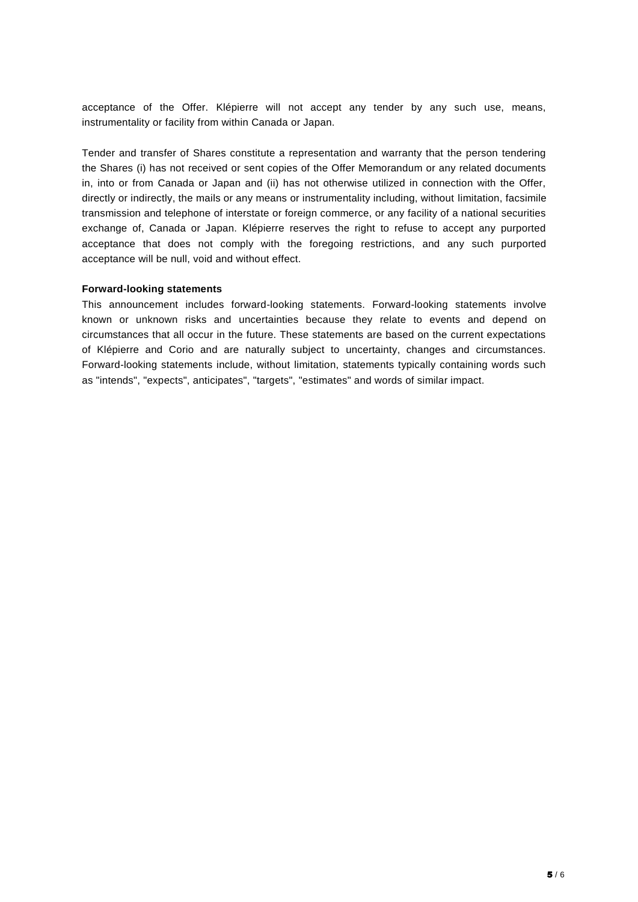acceptance of the Offer. Klépierre will not accept any tender by any such use, means, instrumentality or facility from within Canada or Japan.

Tender and transfer of Shares constitute a representation and warranty that the person tendering the Shares (i) has not received or sent copies of the Offer Memorandum or any related documents in, into or from Canada or Japan and (ii) has not otherwise utilized in connection with the Offer, directly or indirectly, the mails or any means or instrumentality including, without limitation, facsimile transmission and telephone of interstate or foreign commerce, or any facility of a national securities exchange of, Canada or Japan. Klépierre reserves the right to refuse to accept any purported acceptance that does not comply with the foregoing restrictions, and any such purported acceptance will be null, void and without effect.

#### **Forward-looking statements**

This announcement includes forward-looking statements. Forward-looking statements involve known or unknown risks and uncertainties because they relate to events and depend on circumstances that all occur in the future. These statements are based on the current expectations of Klépierre and Corio and are naturally subject to uncertainty, changes and circumstances. Forward-looking statements include, without limitation, statements typically containing words such as "intends", "expects", anticipates", "targets", "estimates" and words of similar impact.